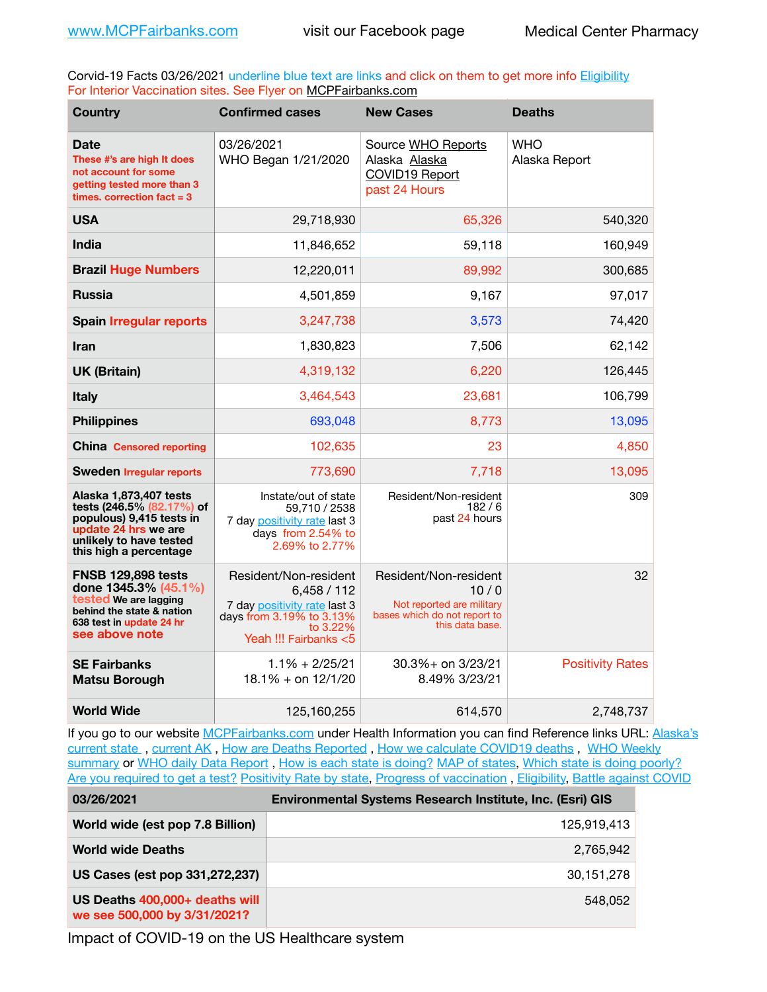Corvid-19 Facts 03/26/2021 underline blue text are links and click on them to get more info [Eligibility](http://dhss.alaska.gov/dph/Epi/id/Pages/COVID-19/VaccineAvailability.aspx) For Interior Vaccination sites. See Flyer on [MCPFairbanks.com](http://www.MCPFairbanks.com)

| <b>Country</b>                                                                                                                                               | <b>Confirmed cases</b>                                                                                                                 | <b>New Cases</b>                                                                                              | <b>Deaths</b>               |
|--------------------------------------------------------------------------------------------------------------------------------------------------------------|----------------------------------------------------------------------------------------------------------------------------------------|---------------------------------------------------------------------------------------------------------------|-----------------------------|
| <b>Date</b><br>These #'s are high It does<br>not account for some<br>getting tested more than 3<br>times, correction fact $=$ 3                              | 03/26/2021<br>WHO Began 1/21/2020                                                                                                      | Source WHO Reports<br>Alaska Alaska<br>COVID19 Report<br>past 24 Hours                                        | <b>WHO</b><br>Alaska Report |
| <b>USA</b>                                                                                                                                                   | 29,718,930                                                                                                                             | 65,326                                                                                                        | 540,320                     |
| <b>India</b>                                                                                                                                                 | 11,846,652                                                                                                                             | 59,118                                                                                                        | 160,949                     |
| <b>Brazil Huge Numbers</b>                                                                                                                                   | 12,220,011                                                                                                                             | 89,992                                                                                                        | 300,685                     |
| <b>Russia</b>                                                                                                                                                | 4,501,859                                                                                                                              | 9,167                                                                                                         | 97,017                      |
| <b>Spain Irregular reports</b>                                                                                                                               | 3,247,738                                                                                                                              | 3,573                                                                                                         | 74,420                      |
| <b>Iran</b>                                                                                                                                                  | 1,830,823                                                                                                                              | 7,506                                                                                                         | 62,142                      |
| <b>UK (Britain)</b>                                                                                                                                          | 4,319,132                                                                                                                              | 6,220                                                                                                         | 126,445                     |
| Italy                                                                                                                                                        | 3,464,543                                                                                                                              | 23,681                                                                                                        | 106,799                     |
| <b>Philippines</b>                                                                                                                                           | 693,048                                                                                                                                | 8,773                                                                                                         | 13,095                      |
| <b>China Censored reporting</b>                                                                                                                              | 102,635                                                                                                                                | 23                                                                                                            | 4,850                       |
| <b>Sweden Irregular reports</b>                                                                                                                              | 773,690                                                                                                                                | 7,718                                                                                                         | 13,095                      |
| Alaska 1,873,407 tests<br>tests (246.5% (82.17%) of<br>populous) 9,415 tests in<br>update 24 hrs we are<br>unlikely to have tested<br>this high a percentage | Instate/out of state<br>59,710 / 2538<br>7 day positivity rate last 3<br>days from 2.54% to<br>2.69% to 2.77%                          | Resident/Non-resident<br>182/6<br>past 24 hours                                                               | 309                         |
| <b>FNSB 129,898 tests</b><br>done 1345.3% (45.1%)<br>tested We are lagging<br>behind the state & nation<br>638 test in update 24 hr<br>see above note        | Resident/Non-resident<br>6,458/112<br>7 day positivity rate last 3<br>days from 3.19% to 3.13%<br>to $3.22\%$<br>Yeah !!! Fairbanks <5 | Resident/Non-resident<br>10/0<br>Not reported are military<br>bases which do not report to<br>this data base. | 32                          |
| <b>SE Fairbanks</b><br><b>Matsu Borough</b>                                                                                                                  | $1.1\% + 2/25/21$<br>$18.1\% +$ on $12/1/20$                                                                                           | 30.3%+ on 3/23/21<br>8.49% 3/23/21                                                                            | <b>Positivity Rates</b>     |
| <b>World Wide</b>                                                                                                                                            | 125,160,255                                                                                                                            | 614,570                                                                                                       | 2,748,737                   |

If you go to our website [MCPFairbanks.com](http://www.MCPFairbanks.com) under Health Information you can find Reference links URL: Alaska's [current state](https://coronavirus-response-alaska-dhss.hub.arcgis.com) , [current AK](http://dhss.alaska.gov/dph/Epi/id/Pages/COVID-19/communications.aspx#cases) , [How are Deaths Reported](http://dhss.alaska.gov/dph/Epi/id/Pages/COVID-19/deathcounts.aspx) , [How we calculate COVID19 deaths](https://coronavirus-response-alaska-dhss.hub.arcgis.com/search?collection=Document&groupIds=41ccb3344ebc4bd682c74073eba21f42) , [WHO Weekly](http://www.who.int)  [summary](http://www.who.int) or [WHO daily Data Report](https://covid19.who.int/table), [How is each state is doing?](https://www.msn.com/en-us/news/us/state-by-state-coronavirus-news/ar-BB13E1PX?fbclid=IwAR0_OBJH7lSyTN3ug_MsOeFnNgB1orTa9OBgilKJ7dhnwlVvHEsptuKkj1c) [MAP of states,](https://www.nationalgeographic.com/science/graphics/graphic-tracking-coronavirus-infections-us?cmpid=org=ngp::mc=crm-email::src=ngp::cmp=editorial::add=SpecialEdition_20210305&rid=B9A6DF5992658E8E35CE023113CFEA4C) [Which state is doing poorly?](https://bestlifeonline.com/covid-outbreak-your-state/?utm_source=nsltr&utm_medium=email&utm_content=covid-outbreak-your-state&utm_campaign=launch) [Are you required to get a test?](http://dhss.alaska.gov/dph/Epi/id/SiteAssets/Pages/HumanCoV/Whattodoafteryourtest.pdf) [Positivity Rate by state](https://coronavirus.jhu.edu/testing/individual-states/alaska), Progress of vaccination, [Eligibility,](http://dhss.alaska.gov/dph/Epi/id/Pages/COVID-19/VaccineAvailability.aspx) [Battle against COVID](https://www.nationalgeographic.com/science/graphics/graphic-tracking-coronavirus-infections-us?cmpid=org=ngp::mc=crm-email::src=ngp::cmp=editorial::add=SpecialEdition_20210219&rid=B9A6DF5992658E8E35CE023113CFEA4C)

| 03/26/2021                                                     | <b>Environmental Systems Research Institute, Inc. (Esri) GIS</b> |
|----------------------------------------------------------------|------------------------------------------------------------------|
| World wide (est pop 7.8 Billion)                               | 125.919.413                                                      |
| <b>World wide Deaths</b>                                       | 2,765,942                                                        |
| US Cases (est pop 331,272,237)                                 | 30,151,278                                                       |
| US Deaths 400,000+ deaths will<br>we see 500,000 by 3/31/2021? | 548.052                                                          |

Impact of COVID-19 on the US Healthcare system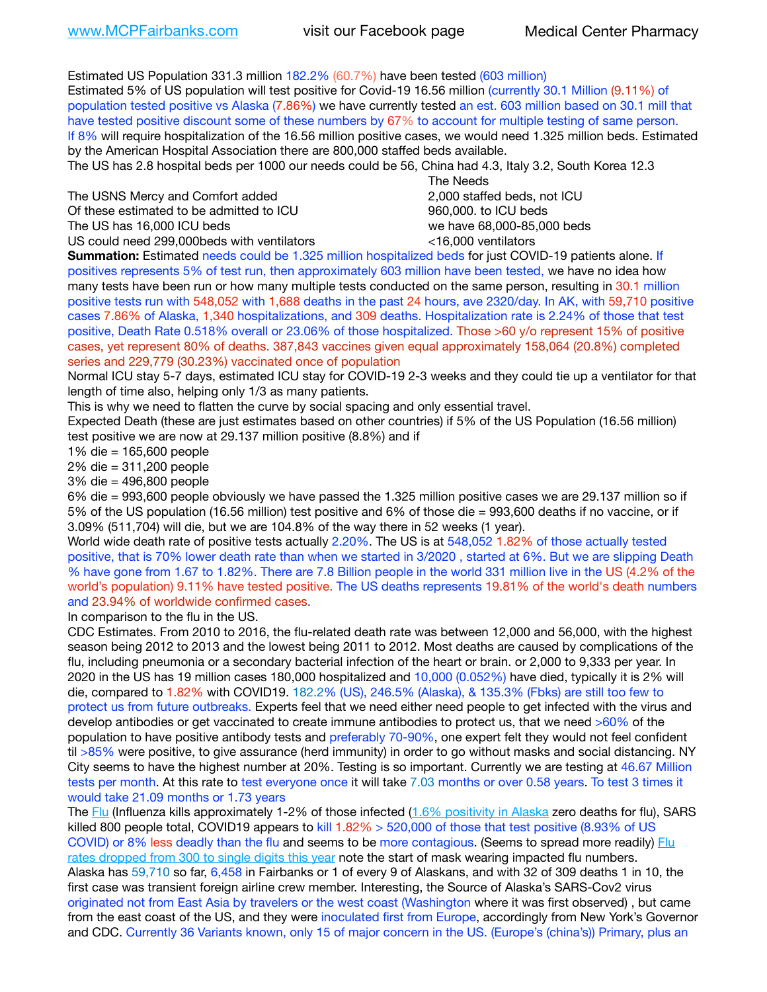Estimated US Population 331.3 million 182.2% (60.7%) have been tested (603 million) Estimated 5% of US population will test positive for Covid-19 16.56 million (currently 30.1 Million (9.11%) of population tested positive vs Alaska (7.86%) we have currently tested an est. 603 million based on 30.1 mill that have tested positive discount some of these numbers by 67% to account for multiple testing of same person. If 8% will require hospitalization of the 16.56 million positive cases, we would need 1.325 million beds. Estimated by the American Hospital Association there are 800,000 staffed beds available.

The US has 2.8 hospital beds per 1000 our needs could be 56, China had 4.3, Italy 3.2, South Korea 12.3

The USNS Mercy and Comfort added **2,000** staffed beds, not ICU Of these estimated to be admitted to ICU 860,000. to ICU beds The US has 16,000 ICU beds we have 68,000-85,000 beds US could need 299,000beds with ventilators <16,000 ventilators

 The Needs

**Summation:** Estimated needs could be 1.325 million hospitalized beds for just COVID-19 patients alone. If positives represents 5% of test run, then approximately 603 million have been tested, we have no idea how many tests have been run or how many multiple tests conducted on the same person, resulting in 30.1 million positive tests run with 548,052 with 1,688 deaths in the past 24 hours, ave 2320/day. In AK, with 59,710 positive cases 7.86% of Alaska, 1,340 hospitalizations, and 309 deaths. Hospitalization rate is 2.24% of those that test positive, Death Rate 0.518% overall or 23.06% of those hospitalized. Those >60 y/o represent 15% of positive cases, yet represent 80% of deaths. 387,843 vaccines given equal approximately 158,064 (20.8%) completed series and 229,779 (30.23%) vaccinated once of population

Normal ICU stay 5-7 days, estimated ICU stay for COVID-19 2-3 weeks and they could tie up a ventilator for that length of time also, helping only 1/3 as many patients.

This is why we need to flatten the curve by social spacing and only essential travel.

Expected Death (these are just estimates based on other countries) if 5% of the US Population (16.56 million) test positive we are now at 29.137 million positive (8.8%) and if

1% die = 165,600 people

2% die = 311,200 people

3% die = 496,800 people

6% die = 993,600 people obviously we have passed the 1.325 million positive cases we are 29.137 million so if 5% of the US population (16.56 million) test positive and 6% of those die = 993,600 deaths if no vaccine, or if 3.09% (511,704) will die, but we are 104.8% of the way there in 52 weeks (1 year).

World wide death rate of positive tests actually 2.20%. The US is at 548,052 1.82% of those actually tested positive, that is 70% lower death rate than when we started in 3/2020 , started at 6%. But we are slipping Death % have gone from 1.67 to 1.82%. There are 7.8 Billion people in the world 331 million live in the US (4.2% of the world's population) 9.11% have tested positive. The US deaths represents 19.81% of the world's death numbers and 23.94% of worldwide confirmed cases.

In comparison to the flu in the US.

CDC Estimates. From 2010 to 2016, the flu-related death rate was between 12,000 and 56,000, with the highest season being 2012 to 2013 and the lowest being 2011 to 2012. Most deaths are caused by complications of the flu, including pneumonia or a secondary bacterial infection of the heart or brain. or 2,000 to 9,333 per year. In 2020 in the US has 19 million cases 180,000 hospitalized and 10,000 (0.052%) have died, typically it is 2% will die, compared to 1.82% with COVID19. 182.2% (US), 246.5% (Alaska), & 135.3% (Fbks) are still too few to protect us from future outbreaks. Experts feel that we need either need people to get infected with the virus and develop antibodies or get vaccinated to create immune antibodies to protect us, that we need >60% of the population to have positive antibody tests and preferably 70-90%, one expert felt they would not feel confident til >85% were positive, to give assurance (herd immunity) in order to go without masks and social distancing. NY City seems to have the highest number at 20%. Testing is so important. Currently we are testing at 46.67 Million tests per month. At this rate to test everyone once it will take 7.03 months or over 0.58 years. To test 3 times it would take 21.09 months or 1.73 years

The [Flu](https://lnks.gd/l/eyJhbGciOiJIUzI1NiJ9.eyJidWxsZXRpbl9saW5rX2lkIjoxMDMsInVyaSI6ImJwMjpjbGljayIsImJ1bGxldGluX2lkIjoiMjAyMTAyMjYuMzYwNDA3NTEiLCJ1cmwiOiJodHRwczovL3d3dy5jZGMuZ292L2ZsdS93ZWVrbHkvb3ZlcnZpZXcuaHRtIn0.ePMA_hsZ-pTnhWSyg1gHvHWYTu2XceVOt0JejxvP1WE/s/500544915/br/98428119752-l) (Influenza kills approximately 1-2% of those infected ([1.6% positivity in Alaska](http://dhss.alaska.gov/dph/Epi/id/SiteAssets/Pages/influenza/trends/Snapshot.pdf) zero deaths for flu), SARS killed 800 people total, COVID19 appears to kill 1.82% > 520,000 of those that test positive (8.93% of US COVID) or 8% less deadly than the flu and seems to be more contagious. (Seems to spread more readily) [Flu](https://lnks.gd/l/eyJhbGciOiJIUzI1NiJ9.eyJidWxsZXRpbl9saW5rX2lkIjoxMDEsInVyaSI6ImJwMjpjbGljayIsImJ1bGxldGluX2lkIjoiMjAyMTAyMjYuMzYwNDA3NTEiLCJ1cmwiOiJodHRwOi8vZGhzcy5hbGFza2EuZ292L2RwaC9FcGkvaWQvUGFnZXMvaW5mbHVlbnphL2ZsdWluZm8uYXNweCJ9.oOe3nt2fww6XpsNhb4FZfmtPfPa-irGaldpkURBJhSo/s/500544915/br/98428119752-l)  [rates dropped from 300 to single digits this year](https://lnks.gd/l/eyJhbGciOiJIUzI1NiJ9.eyJidWxsZXRpbl9saW5rX2lkIjoxMDEsInVyaSI6ImJwMjpjbGljayIsImJ1bGxldGluX2lkIjoiMjAyMTAyMjYuMzYwNDA3NTEiLCJ1cmwiOiJodHRwOi8vZGhzcy5hbGFza2EuZ292L2RwaC9FcGkvaWQvUGFnZXMvaW5mbHVlbnphL2ZsdWluZm8uYXNweCJ9.oOe3nt2fww6XpsNhb4FZfmtPfPa-irGaldpkURBJhSo/s/500544915/br/98428119752-l) note the start of mask wearing impacted flu numbers. Alaska has 59,710 so far, 6,458 in Fairbanks or 1 of every 9 of Alaskans, and with 32 of 309 deaths 1 in 10, the first case was transient foreign airline crew member. Interesting, the Source of Alaska's SARS-Cov2 virus originated not from East Asia by travelers or the west coast (Washington where it was first observed) , but came from the east coast of the US, and they were inoculated first from Europe, accordingly from New York's Governor and CDC. Currently 36 Variants known, only 15 of major concern in the US. (Europe's (china's)) Primary, plus an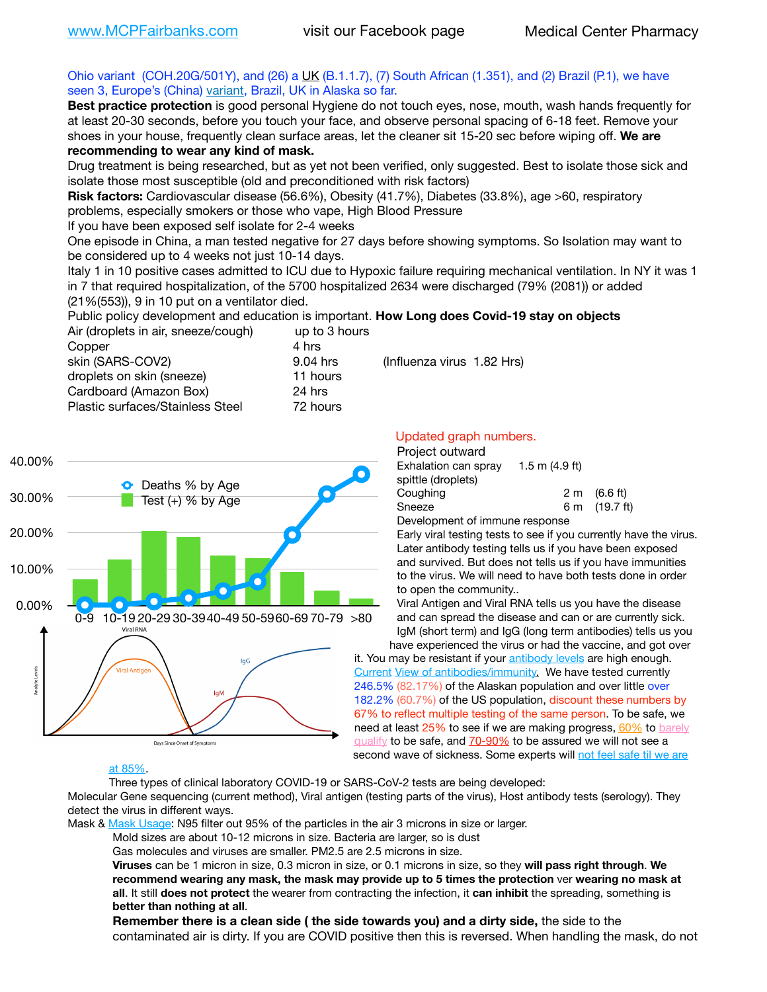## Ohio variant (COH.20G/501Y), and (26) a [UK](https://www.cdc.gov/coronavirus/2019-ncov/transmission/variant-cases.html) (B.1.1.7), (7) South African (1.351), and (2) Brazil (P.1), we have seen 3, Europe's (China) [variant,](https://www.webmd.com/lung/news/20210318/cdc-who-create-threat-levels-for-covid-variants?ecd=wnl_cvd_031921&ctr=wnl-cvd-031921&mb=kYbf7DsHb7YGjh/1RUkcAW0T6iorImAU1TDZh18RYs0=_Support_titleLink_2) Brazil, UK in Alaska so far.

**Best practice protection** is good personal Hygiene do not touch eyes, nose, mouth, wash hands frequently for at least 20-30 seconds, before you touch your face, and observe personal spacing of 6-18 feet. Remove your shoes in your house, frequently clean surface areas, let the cleaner sit 15-20 sec before wiping off. **We are recommending to wear any kind of mask.**

Drug treatment is being researched, but as yet not been verified, only suggested. Best to isolate those sick and isolate those most susceptible (old and preconditioned with risk factors)

**Risk factors:** Cardiovascular disease (56.6%), Obesity (41.7%), Diabetes (33.8%), age >60, respiratory problems, especially smokers or those who vape, High Blood Pressure

If you have been exposed self isolate for 2-4 weeks

One episode in China, a man tested negative for 27 days before showing symptoms. So Isolation may want to be considered up to 4 weeks not just 10-14 days.

Italy 1 in 10 positive cases admitted to ICU due to Hypoxic failure requiring mechanical ventilation. In NY it was 1 in 7 that required hospitalization, of the 5700 hospitalized 2634 were discharged (79% (2081)) or added (21%(553)), 9 in 10 put on a ventilator died.

Public policy development and education is important. **How Long does Covid-19 stay on objects** Air (droplets in air, sneeze/cough) up to 3 hours

| 4 hrs    |
|----------|
| 9.04 hrs |
| 11 hours |
| 24 hrs   |
| 72 hours |
|          |

(Influenza virus 1.82 Hrs)



## Updated graph numbers.

| Project outward                |                  |                        |  |  |
|--------------------------------|------------------|------------------------|--|--|
| Exhalation can spray           | 1.5 m $(4.9$ ft) |                        |  |  |
| spittle (droplets)             |                  |                        |  |  |
| Coughing                       |                  | $2 \text{ m}$ (6.6 ft) |  |  |
| Sneeze                         |                  | 6 m (19.7 ft)          |  |  |
| Development of immune response |                  |                        |  |  |

Early viral testing tests to see if you currently have the virus. Later antibody testing tells us if you have been exposed and survived. But does not tells us if you have immunities to the virus. We will need to have both tests done in order to open the community..

Viral Antigen and Viral RNA tells us you have the disease and can spread the disease and can or are currently sick. IgM (short term) and IgG (long term antibodies) tells us you

have experienced the virus or had the vaccine, and got over it. You may be resistant if your [antibody levels](https://www.cdc.gov/coronavirus/2019-ncov/lab/resources/antibody-tests.html) are high enough. [Current](https://l.facebook.com/l.php?u=https://www.itv.com/news/2020-10-26/covid-19-antibody-levels-reduce-over-time-study-finds?fbclid=IwAR3Dapzh1qIH1EIOdUQI2y8THf7jfA4KBCaJz8Qg-8xe1YsrR4nsAHDIXSY&h=AT30nut8pkqp0heVuz5W2rT2WFFm-2Ab52BsJxZZCNlGsX58IpPkuVEPULbIUV_M16MAukx1Kwb657DPXxsgDN1rpOQ4gqBtQsmVYiWpnHPJo2RQsU6CPMd14lgLnQnFWxfVi6zvmw&__tn__=-UK-R&c%5B0%5D=AT1GaRAfR_nGAyqcn7TI1-PpvqOqEKXHnz6TDWvRStMnOSH7boQDvTiwTOc6VId9UES6LKiOmm2m88wKCoolkJyOFvakt2Z1Mw8toYWGGoWW23r0MNVBl7cYJXB_UOvGklNHaNnaNr1_S7NhT3BSykNOBg) [View of antibodies/immunity](https://www.livescience.com/antibodies.html)[.](https://www.itv.com/news/2020-10-26/covid-19-antibody-levels-reduce-over-time-study-finds) We have tested currently 246.5% (82.17%) of the Alaskan population and over little over 182.2% (60.7%) of the US population, discount these numbers by 67% to reflect multiple testing of the same person. To be safe, we need at least 25% to see if we are making progress, [60%](https://www.jhsph.edu/covid-19/articles/achieving-herd-immunity-with-covid19.html) to barely [qualify](https://www.nature.com/articles/d41586-020-02948-4) to be safe, and [70-90%](https://www.mayoclinic.org/herd-immunity-and-coronavirus/art-20486808) to be assured we will not see a second wave of sickness. Some experts will not feel safe til we are

### [at 85%](https://www.bannerhealth.com/healthcareblog/teach-me/what-is-herd-immunity).

Three types of clinical laboratory COVID-19 or SARS-CoV-2 tests are being developed:

Molecular Gene sequencing (current method), Viral antigen (testing parts of the virus), Host antibody tests (serology). They detect the virus in different ways.

Mask & [Mask Usage:](https://www.nationalgeographic.com/history/2020/03/how-cities-flattened-curve-1918-spanish-flu-pandemic-coronavirus/) N95 filter out 95% of the particles in the air 3 microns in size or larger.

Mold sizes are about 10-12 microns in size. Bacteria are larger, so is dust

Gas molecules and viruses are smaller. PM2.5 are 2.5 microns in size.

**Viruses** can be 1 micron in size, 0.3 micron in size, or 0.1 microns in size, so they **will pass right through**. **We recommend wearing any mask, the mask may provide up to 5 times the protection** ver **wearing no mask at all**. It still **does not protect** the wearer from contracting the infection, it **can inhibit** the spreading, something is **better than nothing at all**.

**Remember there is a clean side ( the side towards you) and a dirty side,** the side to the contaminated air is dirty. If you are COVID positive then this is reversed. When handling the mask, do not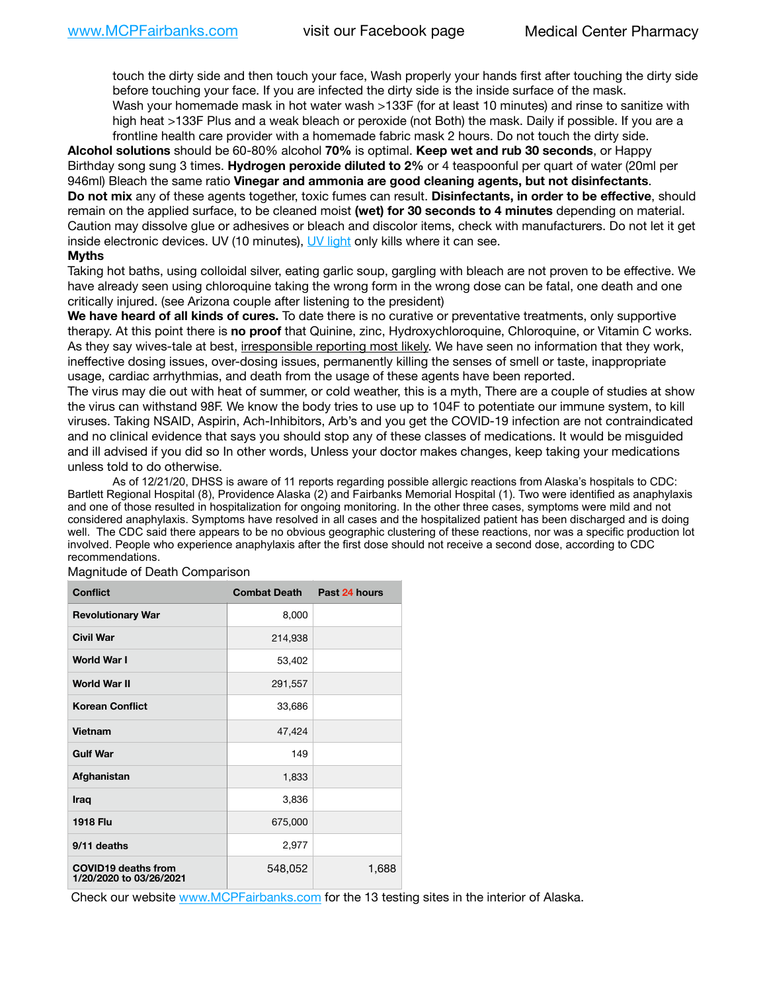touch the dirty side and then touch your face, Wash properly your hands first after touching the dirty side before touching your face. If you are infected the dirty side is the inside surface of the mask. Wash your homemade mask in hot water wash >133F (for at least 10 minutes) and rinse to sanitize with high heat >133F Plus and a weak bleach or peroxide (not Both) the mask. Daily if possible. If you are a frontline health care provider with a homemade fabric mask 2 hours. Do not touch the dirty side.

**Alcohol solutions** should be 60-80% alcohol **70%** is optimal. **Keep wet and rub 30 seconds**, or Happy Birthday song sung 3 times. **Hydrogen peroxide diluted to 2%** or 4 teaspoonful per quart of water (20ml per 946ml) Bleach the same ratio **Vinegar and ammonia are good cleaning agents, but not disinfectants**. **Do not mix** any of these agents together, toxic fumes can result. **Disinfectants, in order to be effective**, should remain on the applied surface, to be cleaned moist **(wet) for 30 seconds to 4 minutes** depending on material. Caution may dissolve glue or adhesives or bleach and discolor items, check with manufacturers. Do not let it get inside electronic devices. UV (10 minutes), [UV light](http://www.docreviews.me/best-uv-boxes-2020/?fbclid=IwAR3bvFtXB48OoBBSvYvTEnKuHNPbipxM6jUo82QUSw9wckxjC7wwRZWabGw) only kills where it can see.

#### **Myths**

Taking hot baths, using colloidal silver, eating garlic soup, gargling with bleach are not proven to be effective. We have already seen using chloroquine taking the wrong form in the wrong dose can be fatal, one death and one critically injured. (see Arizona couple after listening to the president)

**We have heard of all kinds of cures.** To date there is no curative or preventative treatments, only supportive therapy. At this point there is **no proof** that Quinine, zinc, Hydroxychloroquine, Chloroquine, or Vitamin C works. As they say wives-tale at best, irresponsible reporting most likely. We have seen no information that they work, ineffective dosing issues, over-dosing issues, permanently killing the senses of smell or taste, inappropriate usage, cardiac arrhythmias, and death from the usage of these agents have been reported.

The virus may die out with heat of summer, or cold weather, this is a myth, There are a couple of studies at show the virus can withstand 98F. We know the body tries to use up to 104F to potentiate our immune system, to kill viruses. Taking NSAID, Aspirin, Ach-Inhibitors, Arb's and you get the COVID-19 infection are not contraindicated and no clinical evidence that says you should stop any of these classes of medications. It would be misguided and ill advised if you did so In other words, Unless your doctor makes changes, keep taking your medications unless told to do otherwise.

 As of 12/21/20, DHSS is aware of 11 reports regarding possible allergic reactions from Alaska's hospitals to CDC: Bartlett Regional Hospital (8), Providence Alaska (2) and Fairbanks Memorial Hospital (1). Two were identified as anaphylaxis and one of those resulted in hospitalization for ongoing monitoring. In the other three cases, symptoms were mild and not considered anaphylaxis. Symptoms have resolved in all cases and the hospitalized patient has been discharged and is doing well. The CDC said there appears to be no obvious geographic clustering of these reactions, nor was a specific production lot involved. People who experience anaphylaxis after the first dose should not receive a second dose, according to CDC recommendations.

| <b>Conflict</b>                                       | <b>Combat Death</b> | Past 24 hours |
|-------------------------------------------------------|---------------------|---------------|
| <b>Revolutionary War</b>                              | 8,000               |               |
| <b>Civil War</b>                                      | 214,938             |               |
| <b>World War I</b>                                    | 53,402              |               |
| <b>World War II</b>                                   | 291,557             |               |
| <b>Korean Conflict</b>                                | 33,686              |               |
| Vietnam                                               | 47,424              |               |
| <b>Gulf War</b>                                       | 149                 |               |
| Afghanistan                                           | 1,833               |               |
| Iraq                                                  | 3,836               |               |
| <b>1918 Flu</b>                                       | 675,000             |               |
| 9/11 deaths                                           | 2,977               |               |
| <b>COVID19 deaths from</b><br>1/20/2020 to 03/26/2021 | 548,052             | 1,688         |

Magnitude of Death Comparison

Check our website [www.MCPFairbanks.com](http://www.MCPFairbanks.com) for the 13 testing sites in the interior of Alaska.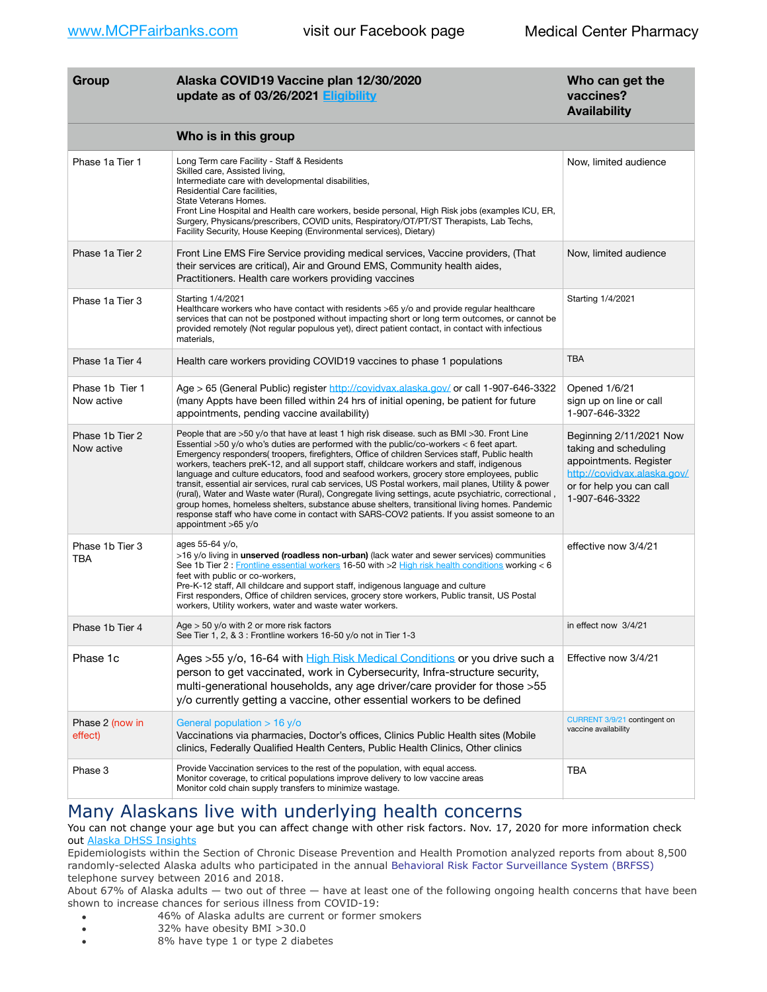| Group                         | Alaska COVID19 Vaccine plan 12/30/2020<br>update as of 03/26/2021 Eligibility                                                                                                                                                                                                                                                                                                                                                                                                                                                                                                                                                                                                                                                                                                                                                                                                                                               | Who can get the<br>vaccines?<br><b>Availability</b>                                                                                                     |
|-------------------------------|-----------------------------------------------------------------------------------------------------------------------------------------------------------------------------------------------------------------------------------------------------------------------------------------------------------------------------------------------------------------------------------------------------------------------------------------------------------------------------------------------------------------------------------------------------------------------------------------------------------------------------------------------------------------------------------------------------------------------------------------------------------------------------------------------------------------------------------------------------------------------------------------------------------------------------|---------------------------------------------------------------------------------------------------------------------------------------------------------|
|                               | Who is in this group                                                                                                                                                                                                                                                                                                                                                                                                                                                                                                                                                                                                                                                                                                                                                                                                                                                                                                        |                                                                                                                                                         |
| Phase 1a Tier 1               | Long Term care Facility - Staff & Residents<br>Skilled care, Assisted living,<br>Intermediate care with developmental disabilities,<br>Residential Care facilities,<br>State Veterans Homes.<br>Front Line Hospital and Health care workers, beside personal, High Risk jobs (examples ICU, ER,<br>Surgery, Physicans/prescribers, COVID units, Respiratory/OT/PT/ST Therapists, Lab Techs,<br>Facility Security, House Keeping (Environmental services), Dietary)                                                                                                                                                                                                                                                                                                                                                                                                                                                          | Now, limited audience                                                                                                                                   |
| Phase 1a Tier 2               | Front Line EMS Fire Service providing medical services, Vaccine providers, (That<br>their services are critical), Air and Ground EMS, Community health aides,<br>Practitioners. Health care workers providing vaccines                                                                                                                                                                                                                                                                                                                                                                                                                                                                                                                                                                                                                                                                                                      | Now, limited audience                                                                                                                                   |
| Phase 1a Tier 3               | Starting 1/4/2021<br>Healthcare workers who have contact with residents >65 y/o and provide regular healthcare<br>services that can not be postponed without impacting short or long term outcomes, or cannot be<br>provided remotely (Not regular populous yet), direct patient contact, in contact with infectious<br>materials,                                                                                                                                                                                                                                                                                                                                                                                                                                                                                                                                                                                          | Starting 1/4/2021                                                                                                                                       |
| Phase 1a Tier 4               | Health care workers providing COVID19 vaccines to phase 1 populations                                                                                                                                                                                                                                                                                                                                                                                                                                                                                                                                                                                                                                                                                                                                                                                                                                                       | <b>TBA</b>                                                                                                                                              |
| Phase 1b Tier 1<br>Now active | Age > 65 (General Public) register http://covidvax.alaska.gov/ or call 1-907-646-3322<br>(many Appts have been filled within 24 hrs of initial opening, be patient for future<br>appointments, pending vaccine availability)                                                                                                                                                                                                                                                                                                                                                                                                                                                                                                                                                                                                                                                                                                | Opened 1/6/21<br>sign up on line or call<br>1-907-646-3322                                                                                              |
| Phase 1b Tier 2<br>Now active | People that are >50 y/o that have at least 1 high risk disease. such as BMI >30. Front Line<br>Essential >50 y/o who's duties are performed with the public/co-workers < 6 feet apart.<br>Emergency responders(troopers, firefighters, Office of children Services staff, Public health<br>workers, teachers preK-12, and all support staff, childcare workers and staff, indigenous<br>language and culture educators, food and seafood workers, grocery store employees, public<br>transit, essential air services, rural cab services, US Postal workers, mail planes, Utility & power<br>(rural), Water and Waste water (Rural), Congregate living settings, acute psychiatric, correctional,<br>group homes, homeless shelters, substance abuse shelters, transitional living homes. Pandemic<br>response staff who have come in contact with SARS-COV2 patients. If you assist someone to an<br>appointment $>65$ y/o | Beginning 2/11/2021 Now<br>taking and scheduling<br>appointments. Register<br>http://covidvax.alaska.gov/<br>or for help you can call<br>1-907-646-3322 |
| Phase 1b Tier 3<br>TBA        | ages 55-64 y/o,<br>>16 y/o living in <b>unserved (roadless non-urban)</b> (lack water and sewer services) communities<br>See 1b Tier 2 : Frontline essential workers 16-50 with >2 High risk health conditions working < 6<br>feet with public or co-workers,<br>Pre-K-12 staff, All childcare and support staff, indigenous language and culture<br>First responders, Office of children services, grocery store workers, Public transit, US Postal<br>workers, Utility workers, water and waste water workers.                                                                                                                                                                                                                                                                                                                                                                                                            | effective now 3/4/21                                                                                                                                    |
| Phase 1b Tier 4               | Age $>$ 50 y/o with 2 or more risk factors<br>See Tier 1, 2, & 3 : Frontline workers 16-50 y/o not in Tier 1-3                                                                                                                                                                                                                                                                                                                                                                                                                                                                                                                                                                                                                                                                                                                                                                                                              | in effect now 3/4/21                                                                                                                                    |
| Phase 1c                      | Ages >55 y/o, 16-64 with High Risk Medical Conditions or you drive such a<br>person to get vaccinated, work in Cybersecurity, Infra-structure security,<br>multi-generational households, any age driver/care provider for those > 55<br>y/o currently getting a vaccine, other essential workers to be defined                                                                                                                                                                                                                                                                                                                                                                                                                                                                                                                                                                                                             | Effective now 3/4/21                                                                                                                                    |
| Phase 2 (now in<br>effect)    | General population > 16 y/o<br>Vaccinations via pharmacies, Doctor's offices, Clinics Public Health sites (Mobile<br>clinics, Federally Qualified Health Centers, Public Health Clinics, Other clinics                                                                                                                                                                                                                                                                                                                                                                                                                                                                                                                                                                                                                                                                                                                      | CURRENT 3/9/21 contingent on<br>vaccine availability                                                                                                    |
| Phase 3                       | Provide Vaccination services to the rest of the population, with equal access.<br>Monitor coverage, to critical populations improve delivery to low vaccine areas<br>Monitor cold chain supply transfers to minimize wastage.                                                                                                                                                                                                                                                                                                                                                                                                                                                                                                                                                                                                                                                                                               | TBA                                                                                                                                                     |

# Many Alaskans live with underlying health concerns

You can not change your age but you can affect change with other risk factors. Nov. 17, 2020 for more information check out [Alaska DHSS Insights](http://dhss.alaska.gov/dph/Epi/id/Pages/COVID-19/blog/20201117.aspx)

Epidemiologists within the Section of Chronic Disease Prevention and Health Promotion analyzed reports from about 8,500 randomly-selected Alaska adults who participated in the annual [Behavioral Risk Factor Surveillance System \(BRFSS\)](http://dhss.alaska.gov/dph/Chronic/Pages/brfss/default.aspx) telephone survey between 2016 and 2018.

About 67% of Alaska adults — two out of three — have at least one of the following ongoing health concerns that have been shown to increase chances for serious illness from COVID-19:

- 46% of Alaska adults are current or former smokers
- 32% have obesity BMI >30.0
- 8% have type 1 or type 2 diabetes